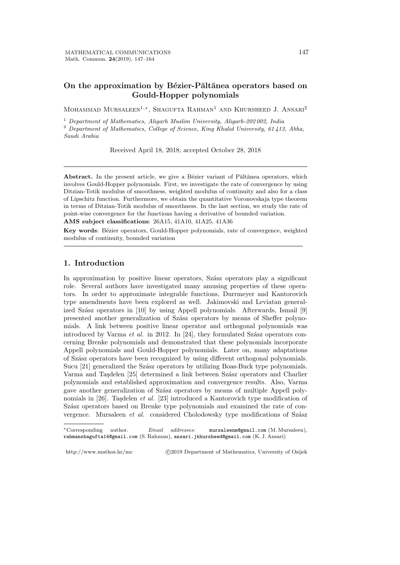## On the approximation by Bézier-Păltănea operators based on **Gould-Hopper polynomials**

Mohammad Mursaleen<sup>1,</sup>\*, Shagufta Rahman<sup>1</sup> and Khursheed J. Ansari<sup>2</sup>

<sup>1</sup> *Department of Mathematics, Aligarh Muslim University, Aligarh-202 002, India* <sup>2</sup> *Department of Mathematics, College of Science, King Khalid University, 61 413, Abha, Saudi Arabia*

Received April 18, 2018; accepted October 28, 2018

Abstract. In the present article, we give a Bézier variant of Păltănea operators, which involves Gould-Hopper polynomials. First, we investigate the rate of convergence by using Ditzian-Totik modulus of smoothness, weighted modulus of continuity and also for a class of Lipschitz function. Furthermore, we obtain the quantitative Voronovskaja type theorem in terms of Ditzian-Totik modulus of smoothness. In the last section, we study the rate of point-wise convergence for the functions having a derivative of bounded variation.

**AMS subject classifications**: 26A15, 41A10, 41A25, 41A36

Key words: Bézier operators, Gould-Hopper polynomials, rate of convergence, weighted modulus of continuity, bounded variation

### **1. Introduction**

In approximation by positive linear operators, Szász operators play a significant role. Several authors have investigated many amusing properties of these operators. In order to approximate integrable functions, Durrmeyer and Kantorovich type amendments have been explored as well. Jakimovski and Leviatan generalized Szász operators in  $[10]$  by using Appell polynomials. Afterwards, Ismail  $[9]$ presented another generalization of Szász operators by means of Sheffer polynomials. A link between positive linear operator and orthogonal polynomials was introduced by Varma  $et \ al.$  in 2012. In [24], they formulated Szász operators concerning Brenke polynomials and demonstrated that these polynomials incorporate Appell polynomials and Gould-Hopper polynomials. Later on, many adaptations of Sz´asz operators have been recognized by using different orthogonal polynomials. Sucu [21] generalized the Szász operators by utilizing Boas-Buck type polynomials. Varma and Taşdelen [25] determined a link between Szász operators and Charlier polynomials and established approximation and convergence results. Also, Varma gave another generalization of Szász operators by means of multiple Appell polynomials in [26]. Taşdelen *et al.* [23] introduced a Kantorovich type modification of Szász operators based on Brenke type polynomials and examined the rate of convergence. Mursaleen *et al.* considered Cholodowsky type modifications of Szász

http://www.mathos.hr/mc *<i>*  $\odot$ 2019 Department of Mathematics, University of Osijek

*<sup>∗</sup>*Corresponding author. *Email addresses:* mursaleenm@gmail.com (M. Mursaleen), rahmanshagufta14@gmail.com (S. Rahman), ansari.jkhursheed@gmail.com (K. J. Ansari)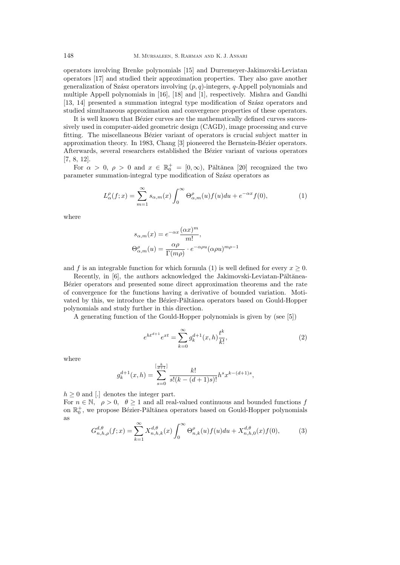operators involving Brenke polynomials [15] and Durremeyer-Jakimovski-Leviatan operators [17] and studied their approximation properties. They also gave another generalization of Szász operators involving  $(p, q)$ -integers,  $q$ -Appell polynomials and multiple Appell polynomials in [16], [18] and [1], respectively. Mishra and Gandhi [13, 14] presented a summation integral type modification of Szász operators and studied simultaneous approximation and convergence properties of these operators.

It is well known that Bézier curves are the mathematically defined curves successively used in computer-aided geometric design (CAGD), image processing and curve fitting. The miscellaneous Bézier variant of operators is crucial subject matter in approximation theory. In 1983, Chang [3] pioneered the Bernstein-Bézier operators. Afterwards, several researchers established the Bézier variant of various operators [7, 8, 12].

For  $\alpha > 0$ ,  $\rho > 0$  and  $x \in \mathbb{R}_0^+ = [0, \infty)$ , Paltanea [20] recognized the two parameter summation-integral type modification of Szász operators as

$$
L_{\alpha}^{\rho}(f;x) = \sum_{m=1}^{\infty} s_{\alpha,m}(x) \int_0^{\infty} \Theta_{\alpha,m}^{\rho}(u) f(u) du + e^{-\alpha x} f(0), \tag{1}
$$

where

$$
s_{\alpha,m}(x) = e^{-\alpha x} \frac{(\alpha x)^m}{m!},
$$
  
\n
$$
\Theta_{\alpha,m}^{\rho}(u) = \frac{\alpha \rho}{\Gamma(m\rho)} \cdot e^{-\alpha \rho u} (\alpha \rho u)^{m\rho - 1}
$$

and *f* is an integrable function for which formula (1) is well defined for every  $x \geq 0$ .

Recently, in  $[6]$ , the authors acknowledged the Jakimovski-Leviatan-Păltănea-Bézier operators and presented some direct approximation theorems and the rate of convergence for the functions having a derivative of bounded variation. Motivated by this, we introduce the Bézier-Păltănea operators based on Gould-Hopper polynomials and study further in this direction.

A generating function of the Gould-Hopper polynomials is given by (see [5])

$$
e^{ht^{d+1}}e^{xt} = \sum_{k=0}^{\infty} g_k^{d+1}(x,h)\frac{t^k}{k!},
$$
\n(2)

where

$$
g_k^{d+1}(x,h) = \sum_{s=0}^{\left[\frac{k}{d+1}\right]} \frac{k!}{s!(k-(d+1)s)!} h^s x^{k-(d+1)s},
$$

 $h \geq 0$  and [.] denotes the integer part.

For  $n \in \mathbb{N}$ ,  $\rho > 0$ ,  $\theta \ge 1$  and all real-valued continuous and bounded functions *f* on  $\mathbb{R}^+_0,$  we propose Bézier-Păltănea operators based on Gould-Hopper polynomials as

$$
G_{n,h,\rho}^{d,\theta}(f;x) = \sum_{k=1}^{\infty} X_{n,h,k}^{d,\theta}(x) \int_0^{\infty} \Theta_{n,k}^{\rho}(u) f(u) du + X_{n,h,0}^{d,\theta}(x) f(0), \tag{3}
$$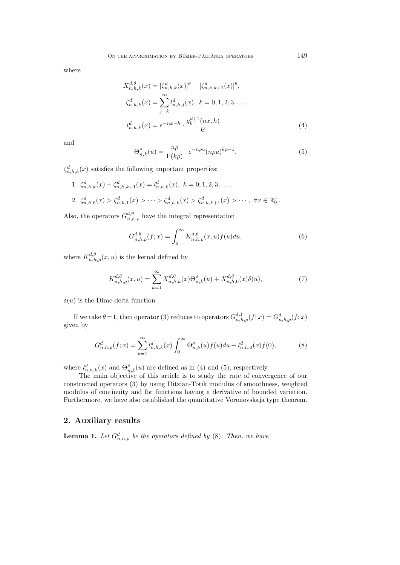where

$$
X_{n,h,k}^{d,\theta}(x) = \left[\zeta_{n,h,k}^d(x)\right]^\theta - \left[\zeta_{n,h,k+1}^d(x)\right]^\theta,
$$
  
\n
$$
\zeta_{n,h,k}^d(x) = \sum_{j=k}^\infty l_{n,h,j}^d(x), \ k = 0, 1, 2, 3, \dots,
$$
  
\n
$$
l_{n,h,k}^d(x) = e^{-nx - h} \cdot \frac{g_k^{d+1}(nx, h)}{k!}
$$
\n(4)

and

$$
\Theta_{n,k}^{\rho}(u) = \frac{n\rho}{\Gamma(k\rho)} \cdot e^{-n\rho u} (n\rho u)^{k\rho - 1}.
$$
\n(5)

 $\zeta_{n,h,k}^d(x)$  satisfies the following important properties:

1.  $\zeta_{n,h,k}^d(x) - \zeta_{n,h,k+1}^d(x) = l_{n,h,k}^d(x), \ k = 0, 1, 2, 3, \ldots,$ 2.  $\zeta_{n,h,0}^d(x) > \zeta_{n,h,1}^d(x) > \cdots > \zeta_{n,h,k}^d(x) > \zeta_{n,h,k+1}^d(x) > \cdots, \ \forall x \in \mathbb{R}_0^+$ .

Also, the operators  $G_{n,h,\rho}^{d,\theta}$  have the integral representation

$$
G_{n,h,\rho}^{d,\theta}(f;x) = \int_0^\infty K_{n,h,\rho}^{d,\theta}(x,u)f(u)du,\tag{6}
$$

where  $K_{n,h,\rho}^{d,\theta}(x,u)$  is the kernal defined by

$$
K_{n,h,\rho}^{d,\theta}(x,u) = \sum_{k=1}^{\infty} X_{n,h,k}^{d,\theta}(x) \Theta_{n,k}^{\rho}(u) + X_{n,h,0}^{d,\theta}(x) \delta(u), \tag{7}
$$

 $\delta(u)$  is the Dirac-delta function.

If we take  $\theta = 1$ , then operator (3) reduces to operators  $G_{n,h,\rho}^{d,1}(f;x) = G_{n,h,\rho}^{d}(f;x)$ given by

$$
G_{n,h,\rho}^d(f;x) = \sum_{k=1}^{\infty} l_{n,h,k}^d(x) \int_0^{\infty} \Theta_{n,k}^\rho(u) f(u) du + l_{n,h,0}^d(x) f(0), \tag{8}
$$

where  $l_{n,h,k}^d(x)$  and  $\Theta_{n,k}^{\rho}(u)$  are defined as in (4) and (5), respectively.

The main objective of this article is to study the rate of convergence of our constructed operators (3) by using Ditzian-Totik modulus of smoothness, weighted modulus of continuity and for functions having a derivative of bounded variation. Furthermore, we have also established the quantitative Voronovskaja type theorem.

### **2. Auxiliary results**

**Lemma 1.** *Let*  $G^d_{n,h,\rho}$  *be the operators defined by* (8). *Then, we have*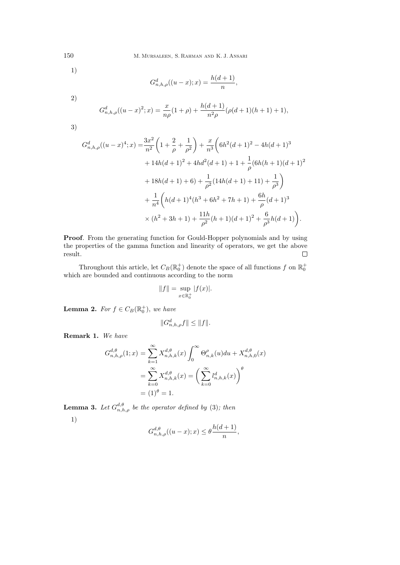1)

$$
G_{n,h,\rho}^d((u-x);x) = \frac{h(d+1)}{n},
$$

2)

$$
G_{n,h,\rho}^d((u-x)^2;x) = \frac{x}{n\rho}(1+\rho) + \frac{h(d+1)}{n^2\rho}(\rho(d+1)(h+1)+1),
$$

3)

$$
G_{n,h,\rho}^d((u-x)^4;x) = \frac{3x^2}{n^2} \left(1 + \frac{2}{\rho} + \frac{1}{\rho^2}\right) + \frac{x}{n^3} \left(6h^2(d+1)^2 - 4h(d+1)^3 + 14h(d+1)^2 + 4hd^2(d+1) + 1 + \frac{1}{\rho}(6h(h+1)(d+1)^2 + 18h(d+1) + 6) + \frac{1}{\rho^2}(14h(d+1) + 11) + \frac{1}{\rho^3}\right) + \frac{1}{n^4} \left(h(d+1)^4(h^3 + 6h^2 + 7h + 1) + \frac{6h}{\rho}(d+1)^3 + (h^2 + 3h + 1) + \frac{11h}{\rho^2}(h+1)(d+1)^2 + \frac{6}{\rho^3}h(d+1)\right).
$$

**Proof***.* From the generating function for Gould-Hopper polynomials and by using the properties of the gamma function and linearity of operators, we get the above result.  $\Box$ 

Throughout this article, let  $C_B(\mathbb{R}_0^+)$  denote the space of all functions  $f$  on  $\mathbb{R}_0^+$ which are bounded and continuous according to the norm

$$
||f|| = \sup_{x \in \mathbb{R}_0^+} |f(x)|.
$$

**Lemma 2.** For  $f \in C_B(\mathbb{R}^+_0)$ , we have

$$
||G_{n,h,\rho}^d f|| \le ||f||.
$$

**Remark 1.** *We have*

$$
G_{n,h,\rho}^{d,\theta}(1;x) = \sum_{k=1}^{\infty} X_{n,h,k}^{d,\theta}(x) \int_0^{\infty} \Theta_{n,k}^{\rho}(u) du + X_{n,h,0}^{d,\theta}(x)
$$

$$
= \sum_{k=0}^{\infty} X_{n,h,k}^{d,\theta}(x) = \left(\sum_{k=0}^{\infty} l_{n,h,k}^d(x)\right)^{\theta}
$$

$$
= (1)^{\theta} = 1.
$$

**Lemma 3.** Let  $G_{n,h,\rho}^{d,\theta}$  be the operator defined by (3); then 1)

$$
G_{n,h,\rho}^{d,\theta}((u-x);x) \le \theta \frac{h(d+1)}{n},
$$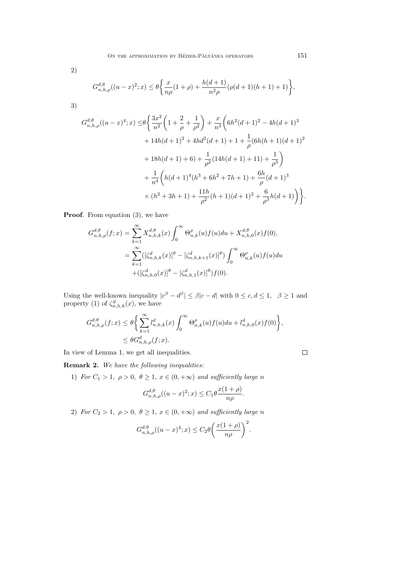$$
G_{n,h,\rho}^{d,\theta}((u-x)^2;x) \leq \theta \bigg\{\frac{x}{n\rho}(1+\rho)+\frac{h(d+1)}{n^2\rho}(\rho(d+1)(h+1)+1)\bigg\},
$$

3)

2)

$$
G_{n,h,\rho}^{d,\theta}((u-x)^{4};x) \leq \theta \bigg\{\frac{3x^{2}}{n^{2}} \bigg(1 + \frac{2}{\rho} + \frac{1}{\rho^{2}}\bigg) + \frac{x}{n^{3}} \bigg(6h^{2}(d+1)^{2} - 4h(d+1)^{3} + 14h(d+1)^{2} + 4hd^{2}(d+1) + 1 + \frac{1}{\rho}(6h(h+1)(d+1)^{2} + 18h(d+1) + 6) + \frac{1}{\rho^{2}}(14h(d+1) + 11) + \frac{1}{\rho^{3}}\bigg) + \frac{1}{n^{4}} \bigg(h(d+1)^{4}(h^{3} + 6h^{2} + 7h + 1) + \frac{6h}{\rho}(d+1)^{3} + (h^{2} + 3h + 1) + \frac{11h}{\rho^{2}}(h+1)(d+1)^{2} + \frac{6}{\rho^{3}}h(d+1)\bigg)\bigg\}.
$$

**Proof***.* From equation (3), we have

$$
G_{n,h,\rho}^{d,\theta}(f;x) = \sum_{k=1}^{\infty} X_{n,h,k}^{d,\theta}(x) \int_0^{\infty} \Theta_{n,k}^{\rho}(u) f(u) du + X_{n,h,0}^{d,\theta}(x) f(0),
$$
  

$$
= \sum_{k=1}^{\infty} ([\zeta_{n,h,k}^d(x)]^{\theta} - [\zeta_{n,h,k+1}^d(x)]^{\theta}) \int_0^{\infty} \Theta_{n,k}^{\rho}(u) f(u) du
$$
  

$$
+ ([\zeta_{n,h,0}^d(x)]^{\theta} - [\zeta_{n,h,1}^d(x)]^{\theta}) f(0).
$$

Using the well-known inequality  $|c^{\beta} - d^{\beta}| \leq \beta |c - d|$  with  $0 \leq c, d \leq 1, \beta \geq 1$  and property (1) of  $\zeta_{n,h,k}^d(x)$ , we have

$$
G_{n,h,\rho}^{d,\theta}(f;x) \leq \theta \bigg\{ \sum_{k=1}^{\infty} l_{n,h,k}^d(x) \int_0^{\infty} \Theta_{n,k}^{\rho}(u) f(u) du + l_{n,h,0}^d(x) f(0) \bigg\},
$$
  

$$
\leq \theta G_{n,h,\rho}^d(f;x).
$$

In view of Lemma 1, we get all inequalities.

**Remark 2.** *We have the following inequalities:*

1) *For*  $C_1 > 1$ ,  $\rho > 0$ ,  $\theta \geq 1$ ,  $x \in (0, +\infty)$  *and sufficiently large n* 

$$
G_{n,h,\rho}^{d,\theta}((u-x)^2;x) \leq C_1 \theta \frac{x(1+\rho)}{n\rho}.
$$

2) *For*  $C_2 > 1$ ,  $\rho > 0$ ,  $\theta \geq 1$ ,  $x \in (0, +\infty)$  *and sufficiently large n* 

$$
G_{n,h,\rho}^{d,\theta}((u-x)^4;x) \leq C_2 \theta \bigg(\frac{x(1+\rho)}{n\rho}\bigg)^2.
$$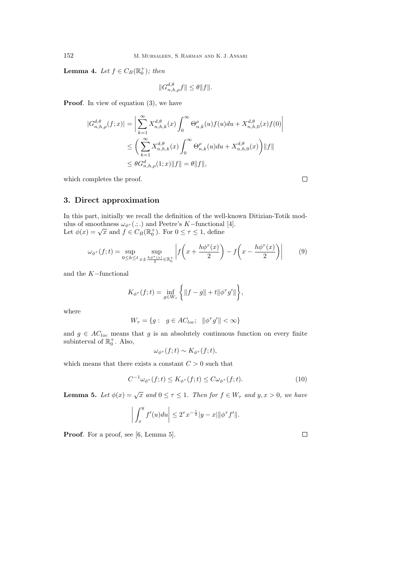**Lemma 4.** *Let*  $f \in C_B(\mathbb{R}_0^+);$  *then* 

$$
||G_{n,h,\rho}^{d,\theta}f|| \leq \theta ||f||.
$$

**Proof***.* In view of equation (3), we have

$$
\begin{aligned} |G_{n,h,\rho}^{d,\theta}(f;x)|&=\bigg|\sum_{k=1}^{\infty}X_{n,h,k}^{d,\theta}(x)\int_0^{\infty}\Theta_{n,k}^{\rho}(u)f(u)du+X_{n,h,0}^{d,\theta}(x)f(0)\bigg|\\ &\leq\bigg(\sum_{k=1}^{\infty}X_{n,h,k}^{d,\theta}(x)\int_0^{\infty}\Theta_{n,k}^{\rho}(u)du+X_{n,h,0}^{d,\theta}(x)\bigg)\|f\|\\ &\leq\theta G_{n,h,\rho}^d(1;x)\|f\|=\theta\|f\|,\end{aligned}
$$

which completes the proof.

### **3. Direct approximation**

In this part, initially we recall the definition of the well-known Ditizian-Totik modulus of smoothness  $\omega_{\phi^{\tau}}(\cdot;\cdot)$  and Peetre's *K*−functional [4]. Let  $\phi(x) = \sqrt{x}$  and  $f \in C_B(\mathbb{R}^+_0)$ . For  $0 \leq \tau \leq 1$ , define

$$
\omega_{\phi^{\tau}}(f;t) = \sup_{0 \le h \le t} \sup_{x \pm \frac{h\phi^{\tau}(x)}{2} \in \mathbb{R}_0^+} \left| f\left(x + \frac{h\phi^{\tau}(x)}{2}\right) - f\left(x - \frac{h\phi^{\tau}(x)}{2}\right) \right| \tag{9}
$$

and the *K−*functional

$$
K_{\phi^{\tau}}(f;t) = \inf_{g \in W_{\tau}} \left\{ \|f - g\| + t \|\phi^{\tau} g'\| \right\},\
$$

where

$$
W_{\tau} = \{ g : g \in AC_{loc}; \|\phi^{\tau} g'\| < \infty \}
$$

and  $g \in AC_{loc}$  means that  $g$  is an absolutely continuous function on every finite subinterval of  $\mathbb{R}_0^+$ . Also,

$$
\omega_{\phi^{\tau}}(f;t) \sim K_{\phi^{\tau}}(f;t),
$$

which means that there exists a constant  $C > 0$  such that

$$
C^{-1}\omega_{\phi^{\tau}}(f;t) \le K_{\phi^{\tau}}(f;t) \le C\omega_{\phi^{\tau}}(f;t). \tag{10}
$$

**Lemma 5.** *Let*  $\phi(x) = \sqrt{x}$  *and*  $0 \le \tau \le 1$ *. Then for*  $f \in W_{\tau}$  *and*  $y, x > 0$ *, we have* 

$$
\left| \int_x^y f'(u) du \right| \leq 2^{\tau} x^{-\frac{\tau}{2}} |y - x| ||\phi^{\tau} f'||.
$$

**Proof***.* For a proof, see [6, Lemma 5].

 $\Box$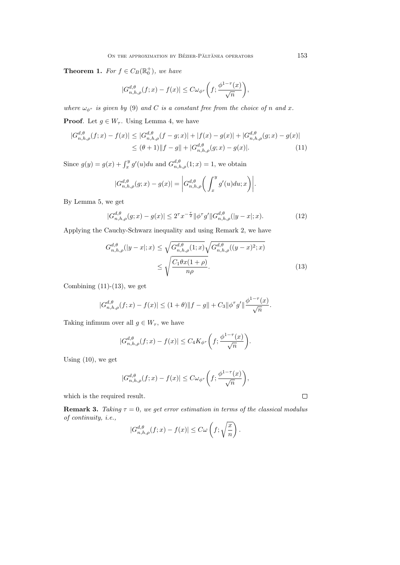**Theorem 1.** For  $f \in C_B(\mathbb{R}^+_0)$ , we have

$$
|G_{n,h,\rho}^{d,\theta}(f;x) - f(x)| \leq C \omega_{\phi^{\tau}} \bigg(f; \frac{\phi^{1-\tau}(x)}{\sqrt{n}}\bigg),
$$

*where*  $\omega_{\phi^{\tau}}$  *is given by* (9) *and C is a constant free from the choice of n and x*.

**Proof**. Let  $g \in W_{\tau}$ . Using Lemma 4, we have

$$
|G_{n,h,\rho}^{d,\theta}(f;x) - f(x)| \le |G_{n,h,\rho}^{d,\theta}(f-g;x)| + |f(x) - g(x)| + |G_{n,h,\rho}^{d,\theta}(g;x) - g(x)|
$$
  

$$
\le (\theta + 1) \|f - g\| + |G_{n,h,\rho}^{d,\theta}(g;x) - g(x)|. \tag{11}
$$

Since  $g(y) = g(x) + \int_x^y g'(u) du$  and  $G_{n,h,\rho}^{d,\theta}(1; x) = 1$ , we obtain

$$
|G_{n,h,\rho}^{d,\theta}(g;x) - g(x)| = \left| G_{n,h,\rho}^{d,\theta} \left( \int_x^y g'(u) du; x \right) \right|.
$$

By Lemma 5, we get

$$
|G_{n,h,\rho}^{d,\theta}(g;x) - g(x)| \le 2^{\tau} x^{-\frac{\tau}{2}} \|\phi^{\tau} g'\| G_{n,h,\rho}^{d,\theta}(|y-x|;x). \tag{12}
$$

Applying the Cauchy-Schwarz inequality and using Remark 2, we have

$$
G_{n,h,\rho}^{d,\theta}(|y-x|;x) \le \sqrt{G_{n,h,\rho}^{d,\theta}(1;x)} \sqrt{G_{n,h,\rho}^{d,\theta}((y-x)^2;x)}
$$

$$
\le \sqrt{\frac{C_1 \theta x (1+\rho)}{n \rho}}.
$$
(13)

Combining  $(11)-(13)$ , we get

$$
|G_{n,h,\rho}^{d,\theta}(f;x) - f(x)| \le (1+\theta) \|f - g\| + C_3 \|\phi^{\tau}g'\| \frac{\phi^{1-\tau}(x)}{\sqrt{n}}.
$$

Taking infimum over all  $g \in W_{\tau}$ , we have

$$
|G_{n,h,\rho}^{d,\theta}(f;x) - f(x)| \le C_4 K_{\phi^\tau} \left(f; \frac{\phi^{1-\tau}(x)}{\sqrt{n}}\right).
$$

Using (10), we get

$$
|G_{n,h,\rho}^{d,\theta}(f;x)-f(x)|\leq C\omega_{\phi^\tau}\bigg(f; \frac{\phi^{1-\tau}(x)}{\sqrt{n}}\bigg),
$$

which is the required result.

**Remark 3.** *Taking*  $\tau = 0$ *, we get error estimation in terms of the classical modulus of continuity, i.e.,*

$$
|G_{n,h,\rho}^{d,\theta}(f;x) - f(x)| \leq C\omega\left(f; \sqrt{\frac{x}{n}}\right).
$$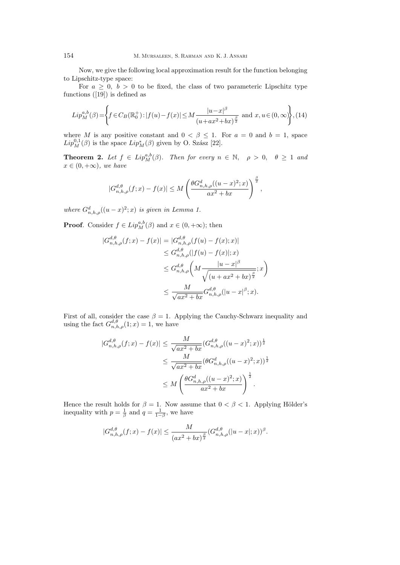Now, we give the following local approximation result for the function belonging to Lipschitz-type space:

For  $a \geq 0$ ,  $b > 0$  to be fixed, the class of two parameteric Lipschitz type functions ([19]) is defined as

$$
Lip_M^{a,b}(\beta) = \left\{ f \in C_B(\mathbb{R}_0^+): |f(u) - f(x)| \le M \frac{|u - x|^\beta}{(u + ax^2 + bx)^{\frac{\beta}{2}}} \text{ and } x, u \in (0, \infty) \right\}, (14)
$$

where *M* is any positive constant and  $0 < \beta \leq 1$ . For  $a = 0$  and  $b = 1$ , space  $Lip_M^{0,1}(\beta)$  is the space  $Lip_M^*(\beta)$  given by O. Szász [22].

**Theorem 2.** Let  $f \in Lip_M^{a,b}(\beta)$ . Then for every  $n \in \mathbb{N}$ ,  $\rho > 0$ ,  $\theta \ge 1$  and  $x \in (0, +\infty)$ *, we have* 

$$
|G_{n,h,\rho}^{d,\theta}(f;x)-f(x)| \leq M \left(\frac{\theta G_{n,h,\rho}^d((u-x)^2;x)}{ax^2+bx}\right)^{\frac{\beta}{2}},
$$

*where*  $G_{n,h,\rho}^d((u-x)^2; x)$  *is given in Lemma 1.* 

**Proof***.* Consider  $f \in Lip_M^{a,b}(\beta)$  and  $x \in (0, +\infty)$ ; then

$$
|G_{n,h,\rho}^{d,\theta}(f;x) - f(x)| = |G_{n,h,\rho}^{d,\theta}(f(u) - f(x);x)|
$$
  
\n
$$
\leq G_{n,h,\rho}^{d,\theta}(|f(u) - f(x)|;x)
$$
  
\n
$$
\leq G_{n,h,\rho}^{d,\theta} \left(M \frac{|u-x|^{\beta}}{\sqrt{(u+ax^2+bx)^{\frac{\beta}{2}}}};x\right)
$$
  
\n
$$
\leq \frac{M}{\sqrt{ax^2+bx}} G_{n,h,\rho}^{d,\theta}(|u-x|^{\beta};x).
$$

First of all, consider the case  $\beta = 1$ . Applying the Cauchy-Schwarz inequality and using the fact  $G_{n,h,\rho}^{d,\theta}(1;x) = 1$ , we have

$$
|G_{n,h,\rho}^{d,\theta}(f;x) - f(x)| \le \frac{M}{\sqrt{ax^2 + bx}} (G_{n,h,\rho}^{d,\theta}((u-x)^2;x))^{\frac{1}{2}}
$$
  

$$
\le \frac{M}{\sqrt{ax^2 + bx}} (\theta G_{n,h,\rho}^d((u-x)^2;x))^{\frac{1}{2}}
$$
  

$$
\le M \left(\frac{\theta G_{n,h,\rho}^d((u-x)^2;x)}{ax^2 + bx}\right)^{\frac{1}{2}}.
$$

Hence the result holds for  $\beta = 1$ . Now assume that  $0 < \beta < 1$ . Applying Hölder's inequality with  $p = \frac{1}{\beta}$  and  $q = \frac{1}{1-\beta}$ , we have

$$
|G_{n,h,\rho}^{d,\theta}(f;x)-f(x)|\leq \frac{M}{(ax^2+bx)^{\frac{\beta}{2}}}(G_{n,h,\rho}^{d,\theta}(|u-x|;x))^\beta.
$$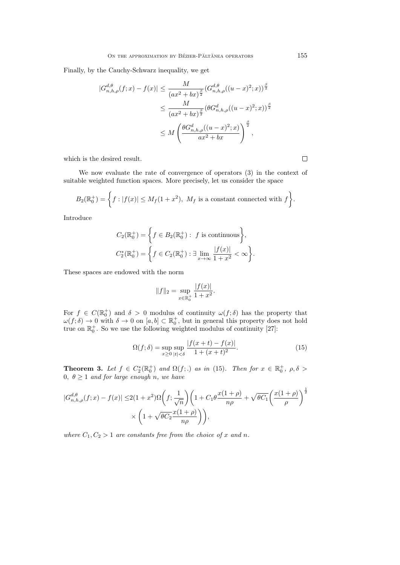Finally, by the Cauchy-Schwarz inequality, we get

$$
|G_{n,h,\rho}^{d,\theta}(f;x) - f(x)| \leq \frac{M}{(ax^2 + bx)^{\frac{\beta}{2}}} (G_{n,h,\rho}^{d,\theta}((u-x)^2;x))^{\frac{\beta}{2}}
$$
  

$$
\leq \frac{M}{(ax^2 + bx)^{\frac{\beta}{2}}} (\theta G_{n,h,\rho}^d((u-x)^2;x))^{\frac{\beta}{2}}
$$
  

$$
\leq M \left(\frac{\theta G_{n,h,\rho}^d((u-x)^2;x)}{ax^2 + bx}\right)^{\frac{\beta}{2}},
$$

which is the desired result.

We now evaluate the rate of convergence of operators (3) in the context of suitable weighted function spaces. More precisely, let us consider the space

$$
B_2(\mathbb{R}_0^+) = \left\{ f : |f(x)| \le M_f(1+x^2), \ M_f \text{ is a constant connected with } f \right\}.
$$

Introduce

$$
C_2(\mathbb{R}_0^+) = \left\{ f \in B_2(\mathbb{R}_0^+) : f \text{ is continuous} \right\},\
$$
  

$$
C_2^*(\mathbb{R}_0^+) = \left\{ f \in C_2(\mathbb{R}_0^+) : \exists \lim_{x \to \infty} \frac{|f(x)|}{1 + x^2} < \infty \right\}.
$$

These spaces are endowed with the norm

$$
||f||_2 = \sup_{x \in \mathbb{R}_0^+} \frac{|f(x)|}{1 + x^2}.
$$

For  $f \in C(\mathbb{R}^+_0)$  and  $\delta > 0$  modulus of continuity  $\omega(f;\delta)$  has the property that  $\omega(f; \delta) \to 0$  with  $\delta \to 0$  on  $[a, b] \subset \mathbb{R}^+_0$ , but in general this property does not hold true on  $\mathbb{R}_0^+$ . So we use the following weighted modulus of continuity [27]:

$$
\Omega(f; \delta) = \sup_{x \ge 0} \sup_{|t| < \delta} \frac{|f(x+t) - f(x)|}{1 + (x+t)^2}.
$$
\n(15)

**Theorem 3.** Let  $f \in C_2^*(\mathbb{R}_0^+)$  and  $\Omega(f;.)$  as in (15). Then for  $x \in \mathbb{R}_0^+$ ,  $\rho, \delta >$ 0*,*  $\theta \ge 1$  *and for large enough n, we have* 

$$
|G_{n,h,\rho}^{d,\theta}(f;x) - f(x)| \le 2(1+x^2)\Omega\left(f; \frac{1}{\sqrt{n}}\right)\left(1 + C_1\theta \frac{x(1+\rho)}{n\rho} + \sqrt{\theta C_1}\left(\frac{x(1+\rho)}{\rho}\right)^{\frac{1}{2}}\right)
$$

$$
\times \left(1 + \sqrt{\theta C_2}\frac{x(1+\rho)}{n\rho}\right)\right),
$$

where  $C_1, C_2 > 1$  are constants free from the choice of *x* and *n*.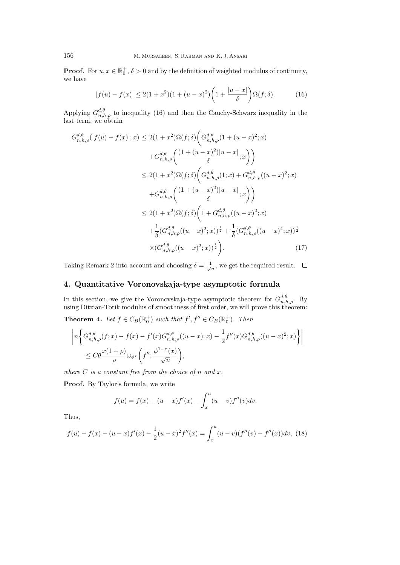**Proof**. For  $u, x \in \mathbb{R}_0^+$ ,  $\delta > 0$  and by the definition of weighted modulus of continuity, we have

$$
|f(u) - f(x)| \le 2(1+x^2)(1+(u-x)^2)\left(1+\frac{|u-x|}{\delta}\right)\Omega(f;\delta).
$$
 (16)

Applying  $G_{n,h,\rho}^{d,\theta}$  to inequality (16) and then the Cauchy-Schwarz inequality in the last term, we obtain

$$
G_{n,h,\rho}^{d,\theta}(|f(u) - f(x)|;x) \le 2(1+x^2)\Omega(f;\delta)\left(G_{n,h,\rho}^{d,\theta}(1+(u-x)^2;x) + G_{n,h,\rho}^{d,\theta}\left(\frac{(1+(u-x)^2)|u-x|}{\delta};x\right)\right)
$$
  

$$
\le 2(1+x^2)\Omega(f;\delta)\left(G_{n,h,\rho}^{d,\theta}(1;x) + G_{n,h,\rho}^{d,\theta}((u-x)^2;x) + G_{n,h,\rho}^{d,\theta}\left(\frac{(1+(u-x)^2)|u-x|}{\delta};x\right)\right)
$$
  

$$
\le 2(1+x^2)\Omega(f;\delta)\left(1+G_{n,h,\rho}^{d,\theta}((u-x)^2;x) + \frac{1}{\delta}(G_{n,h,\rho}^{d,\theta}((u-x)^2;x) + \frac{1}{\delta}(G_{n,h,\rho}^{d,\theta}((u-x)^2;x))^{\frac{1}{2}} + \frac{1}{\delta}(G_{n,h,\rho}^{d,\theta}((u-x)^4;x))^{\frac{1}{2}} \times (G_{n,h,\rho}^{d,\theta}((u-x)^2;x))^{\frac{1}{2}}\right).
$$
 (17)

Taking Remark 2 into account and choosing  $\delta = \frac{1}{\sqrt{n}}$ , we get the required result.

# **4. Quantitative Voronovskaja-type asymptotic formula**

In this section, we give the Voronovskaja-type asymptotic theorem for  $G_{n,h,\rho}^{d,\theta}$ . By using Ditzian-Totik modulus of smoothness of first order, we will prove this theorem:

**Theorem 4.** Let  $f \in C_B(\mathbb{R}_0^+)$  such that  $f', f'' \in C_B(\mathbb{R}_0^+)$ . Then

$$
\left| n \left\{ G_{n,h,\rho}^{d,\theta}(f;x) - f(x) - f'(x)G_{n,h,\rho}^{d,\theta}((u-x);x) - \frac{1}{2}f''(x)G_{n,h,\rho}^{d,\theta}((u-x)^2;x) \right\} \right|
$$
  

$$
\leq C\theta \frac{x(1+\rho)}{\rho} \omega_{\phi^{\tau}} \left( f''; \frac{\phi^{1-\tau}(x)}{\sqrt{n}} \right),
$$

where  $C$  *is a constant free from the choice of*  $n$  *and*  $x$ *.* 

**Proof***.* By Taylor's formula, we write

$$
f(u) = f(x) + (u - x)f'(x) + \int_x^u (u - v)f''(v)dv.
$$

Thus,

$$
f(u) - f(x) - (u - x)f'(x) - \frac{1}{2}(u - x)^2 f''(x) = \int_x^u (u - v)(f''(v) - f''(x))dv, \tag{18}
$$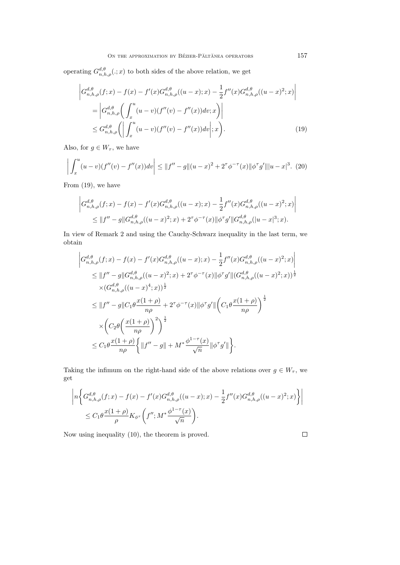operating  $G_{n,h,\rho}^{d,\theta}(.;x)$  to both sides of the above relation, we get

$$
\left| G_{n,h,\rho}^{d,\theta}(f;x) - f(x) - f'(x)G_{n,h,\rho}^{d,\theta}((u-x);x) - \frac{1}{2}f''(x)G_{n,h,\rho}^{d,\theta}((u-x)^2;x) \right|
$$
  
\n
$$
= \left| G_{n,h,\rho}^{d,\theta} \left( \int_x^u (u-v)(f''(v) - f''(x))dv; x \right) \right|
$$
  
\n
$$
\leq G_{n,h,\rho}^{d,\theta} \left( \left| \int_x^u (u-v)(f''(v) - f''(x))dv \right|; x \right).
$$
 (19)

Also, for  $g \in W_{\tau}$ , we have

$$
\left| \int_{x}^{u} (u-v)(f''(v) - f''(x)) dv \right| \leq ||f'' - g|| (u-x)^{2} + 2^{\tau} \phi^{-\tau}(x) ||\phi^{\tau} g'|| |u-x|^{3}.
$$
 (20)

From (19), we have

$$
\left| G_{n,h,\rho}^{d,\theta}(f;x) - f(x) - f'(x)G_{n,h,\rho}^{d,\theta}((u-x);x) - \frac{1}{2}f''(x)G_{n,h,\rho}^{d,\theta}((u-x)^2;x) \right|
$$
  
\n
$$
\leq ||f'' - g||G_{n,h,\rho}^{d,\theta}((u-x)^2;x) + 2^{\tau}\phi^{-\tau}(x)||\phi^{\tau}g'||G_{n,h,\rho}^{d,\theta}((u-x)^3;x).
$$

In view of Remark 2 and using the Cauchy-Schwarz inequality in the last term, we obtain

$$
\left| G_{n,h,\rho}^{d,\theta}(f;x) - f(x) - f'(x)G_{n,h,\rho}^{d,\theta}((u-x);x) - \frac{1}{2}f''(x)G_{n,h,\rho}^{d,\theta}((u-x)^2;x) \right|
$$
  
\n
$$
\leq ||f'' - g||G_{n,h,\rho}^{d,\theta}((u-x)^2;x) + 2^{\tau}\phi^{-\tau}(x)||\phi^{\tau}g'||(G_{n,h,\rho}^{d,\theta}((u-x)^2;x))^{\frac{1}{2}}
$$
  
\n
$$
\times (G_{n,h,\rho}^{d,\theta}((u-x)^4;x))^{\frac{1}{2}}
$$
  
\n
$$
\leq ||f'' - g||C_1\theta \frac{x(1+\rho)}{n\rho} + 2^{\tau}\phi^{-\tau}(x)||\phi^{\tau}g'||\left(C_1\theta \frac{x(1+\rho)}{n\rho}\right)^{\frac{1}{2}}
$$
  
\n
$$
\times \left(C_2\theta \left(\frac{x(1+\rho)}{n\rho}\right)^2\right)^{\frac{1}{2}}
$$
  
\n
$$
\leq C_1\theta \frac{x(1+\rho)}{n\rho} \left\{ ||f'' - g|| + M^* \frac{\phi^{1-\tau}(x)}{\sqrt{n}} ||\phi^{\tau}g'|| \right\}.
$$

Taking the infimum on the right-hand side of the above relations over  $g \in W_{\tau}$ , we get

$$
\left| n \left\{ G_{n,h,\rho}^{d,\theta}(f;x) - f(x) - f'(x)G_{n,h,\rho}^{d,\theta}((u-x);x) - \frac{1}{2}f''(x)G_{n,h,\rho}^{d,\theta}((u-x)^2;x) \right\} \right|
$$
  

$$
\leq C_1 \theta \frac{x(1+\rho)}{\rho} K_{\phi^{\tau}} \left( f''; M^* \frac{\phi^{1-\tau}(x)}{\sqrt{n}} \right).
$$

Now using inequality (10), the theorem is proved.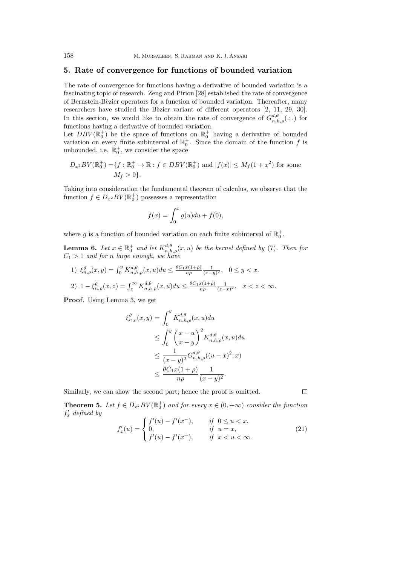#### **5. Rate of convergence for functions of bounded variation**

The rate of convergence for functions having a derivative of bounded variation is a fascinating topic of research. Zeng and Piriou [28] established the rate of convergence of Bernstein-B`ezier operators for a function of bounded variation. Thereafter, many researchers have studied the Bèzier variant of different operators [2, 11, 29, 30]. In this section, we would like to obtain the rate of convergence of  $G_{n,h,\rho}^{d,\theta}(.;.)$  for functions having a derivative of bounded variation.

Let  $DBV(\mathbb{R}_0^+)$  be the space of functions on  $\mathbb{R}_0^+$  having a derivative of bounded variation on every finite subinterval of  $\mathbb{R}_0^+$ . Since the domain of the function f is unbounded, i.e.  $\mathbb{R}_0^+$ , we consider the space

$$
D_{x^2}BV(\mathbb{R}_0^+) = \{ f : \mathbb{R}_0^+ \to \mathbb{R} : f \in DBV(\mathbb{R}_0^+) \text{ and } |f(x)| \le M_f(1+x^2) \text{ for some } M_f > 0 \}.
$$

Taking into consideration the fundamental theorem of calculus, we observe that the function  $f \in D_{x^2}BV(\mathbb{R}_0^+)$  possesses a representation

$$
f(x) = \int_0^x g(u) du + f(0),
$$

where g is a function of bounded variation on each finite subinterval of  $\mathbb{R}_0^+$ .

**Lemma 6.** *Let*  $x \in \mathbb{R}_0^+$  *and let*  $K_{n,h,\rho}^{d,\theta}(x, u)$  *be the kernel defined by* (7)*. Then for C*<sup>1</sup> *>* 1 *and for n large enough, we have*

1)  $\xi_{n,\rho}^{\theta}(x,y) = \int_0^y K_{n,h,\rho}^{d,\theta}(x,u) du \leq \frac{\theta C_1 x (1+\rho)}{n\rho} \frac{1}{(x-y)^2}, \quad 0 \leq y < x.$ 

2) 
$$
1 - \xi_{n,\rho}^{\theta}(x, z) = \int_{z}^{\infty} K_{n,h,\rho}^{d,\theta}(x, u) du \leq \frac{\theta C_1 x (1+\rho)}{n\rho} \frac{1}{(z-x)^2}, \quad x < z < \infty.
$$

**Proof***.* Using Lemma 3, we get

*ξ θ*

$$
\theta_{n,\rho}(x,y) = \int_0^y K_{n,h,\rho}^{d,\theta}(x,u) du
$$
  
\n
$$
\leq \int_0^y \left(\frac{x-u}{x-y}\right)^2 K_{n,h,\rho}^{d,\theta}(x,u) du
$$
  
\n
$$
\leq \frac{1}{(x-y)^2} G_{n,h,\rho}^{d,\theta}((u-x)^2; x)
$$
  
\n
$$
\leq \frac{\theta C_1 x (1+\rho)}{n\rho} \frac{1}{(x-y)^2}.
$$

Similarly, we can show the second part; hence the proof is omitted.

**Theorem 5.** Let  $f \in D_{x^2}BV(\mathbb{R}_0^+)$  and for every  $x \in (0, +\infty)$  consider the function *f ′ <sup>x</sup> defined by*

$$
f'_x(u) = \begin{cases} f'(u) - f'(x^-), & \text{if } 0 \le u < x, \\ 0, & \text{if } u = x, \\ f'(u) - f'(x^+), & \text{if } x < u < \infty. \end{cases} \tag{21}
$$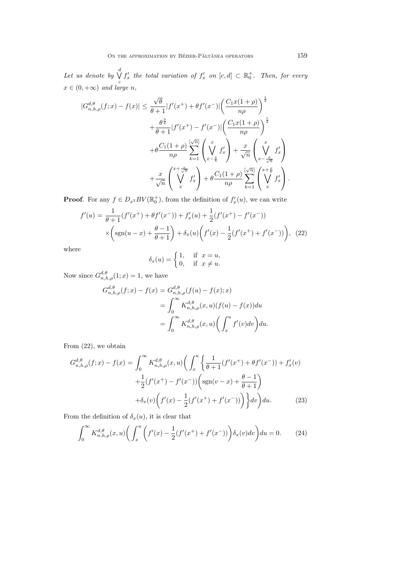*Let us denote by* ∨ *d*  $\overline{Q}$   $f'_{x}$  the total variation of  $f'_{x}$  on  $[c,d] \subset \mathbb{R}^{+}_{0}$ . Then, for every  $x \in (0, +\infty)$  *and large n,* 

$$
|G_{n,h,\rho}^{d,\theta}(f;x) - f(x)| \leq \frac{\sqrt{\theta}}{\theta+1} |f'(x^+) + \theta f'(x^-)| \left(\frac{C_1 x(1+\rho)}{n\rho}\right)^{\frac{1}{2}} + \frac{\theta^{\frac{3}{2}}}{\theta+1} |f'(x^+) - f'(x^-)| \left(\frac{C_1 x(1+\rho)}{n\rho}\right)^{\frac{1}{2}} + \theta \frac{C_1(1+\rho)}{n\rho} \sum_{k=1}^{[\sqrt{n}]} \left(\frac{x}{\sqrt{x}} f'_x\right) + \frac{x}{\sqrt{n}} \left(\frac{x}{\sqrt{x}} \int_{x-\frac{x}{\sqrt{n}}}^{x} f'_x\right) + \frac{x}{\sqrt{n}} \left(\frac{x}{\sqrt{x}} \int_{x-\frac{x}{\sqrt{n}}}^{x} f'_x\right) + \theta \frac{C_1(1+\rho)}{n\rho} \sum_{k=1}^{[\sqrt{n}]} \left(\frac{x+\frac{x}{\sqrt{n}}}{x} f'_x\right).
$$

**Proof**. For any  $f \in D_{x^2}BV(\mathbb{R}_0^+)$ , from the definition of  $f'_x(u)$ , we can write

$$
f'(u) = \frac{1}{\theta + 1} (f'(x^+) + \theta f'(x^-)) + f'_x(u) + \frac{1}{2} (f'(x^+) - f'(x^-))
$$
  
 
$$
\times \left( \text{sgn}(u - x) + \frac{\theta - 1}{\theta + 1} \right) + \delta_x(u) \left( f'(x) - \frac{1}{2} (f'(x^+) + f'(x^-)) \right), \tag{22}
$$

where

$$
\delta_x(u) = \begin{cases} 1, & \text{if } x = u, \\ 0, & \text{if } x \neq u. \end{cases}
$$

Now since  $G_{n,h,\rho}^{d,\theta}(1;x) = 1$ , we have

$$
G_{n,h,\rho}^{d,\theta}(f;x) - f(x) = G_{n,h,\rho}^{d,\theta}(f(u) - f(x);x)
$$
  
= 
$$
\int_0^\infty K_{n,h,\rho}^{d,\theta}(x,u)(f(u) - f(x))du
$$
  
= 
$$
\int_0^\infty K_{n,h,\rho}^{d,\theta}(x,u) \left(\int_x^u f'(v)dv\right)du.
$$

From (22), we obtain

$$
G_{n,h,\rho}^{d,\theta}(f;x) - f(x) = \int_0^\infty K_{n,h,\rho}^{d,\theta}(x,u) \left( \int_x^u \left\{ \frac{1}{\theta+1} (f'(x^+) + \theta f'(x^-)) + f'_x(v) \right. \\ + \frac{1}{2} (f'(x^+) - f'(x^-)) \left( \text{sgn}(v-x) + \frac{\theta-1}{\theta+1} \right) \\ + \delta_x(v) \left( f'(x) - \frac{1}{2} (f'(x^+) + f'(x^-)) \right) \right\} dv \right) du. \tag{23}
$$

From the definition of  $\delta_x(u)$ , it is clear that

$$
\int_0^\infty K_{n,h,\rho}^{d,\theta}(x,u) \bigg( \int_x^u \bigg( f'(x) - \frac{1}{2} (f'(x^+) + f'(x^-)) \bigg) \delta_x(v) dv \bigg) du = 0. \tag{24}
$$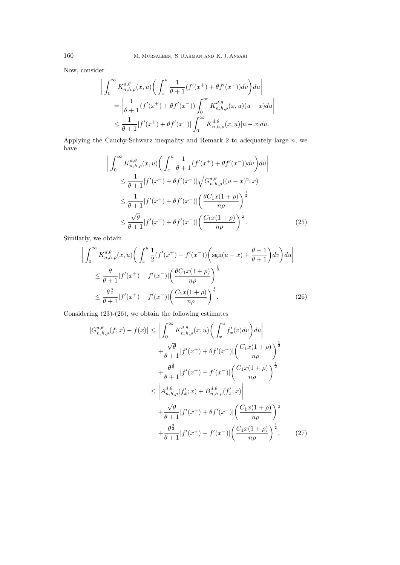Now, consider

$$
\left| \int_0^\infty K_{n,h,\rho}^{d,\theta}(x,u) \left( \int_x^u \frac{1}{\theta+1} (f'(x^+) + \theta f'(x^-)) dv \right) du \right|
$$
  
= 
$$
\left| \frac{1}{\theta+1} (f'(x^+) + \theta f'(x^-)) \int_0^\infty K_{n,h,\rho}^{d,\theta}(x,u) (u-x) du \right|
$$
  

$$
\leq \frac{1}{\theta+1} |f'(x^+) + \theta f'(x^-)| \int_0^\infty K_{n,h,\rho}^{d,\theta}(x,u) |u-x| du.
$$

Applying the Cauchy-Schwarz inequality and Remark 2 to adequately large *n*, we have

$$
\left| \int_0^\infty K_{n,h,\rho}^{d,\theta}(x,u) \left( \int_x^u \frac{1}{\theta+1} (f'(x^+) + \theta f'(x^-)) dv \right) du \right|
$$
  
\n
$$
\leq \frac{1}{\theta+1} |f'(x^+) + \theta f'(x^-)| \sqrt{G_{n,h,\rho}^{d,\theta}((u-x)^2;x)}
$$
  
\n
$$
\leq \frac{1}{\theta+1} |f'(x^+) + \theta f'(x^-)| \left( \frac{\theta C_1 x (1+\rho)}{n\rho} \right)^{\frac{1}{2}}
$$
  
\n
$$
\leq \frac{\sqrt{\theta}}{\theta+1} |f'(x^+) + \theta f'(x^-)| \left( \frac{C_1 x (1+\rho)}{n\rho} \right)^{\frac{1}{2}}.
$$
 (25)

Similarly, we obtain

$$
\left| \int_0^\infty K_{n,h,\rho}^{d,\theta}(x,u) \left( \int_x^u \frac{1}{2} (f'(x^+) - f'(x^-)) \left( \text{sgn}(u-x) + \frac{\theta - 1}{\theta + 1} \right) dv \right) du \right|
$$
  
\n
$$
\leq \frac{\theta}{\theta + 1} |f'(x^+) - f'(x^-)| \left( \frac{\theta C_1 x (1 + \rho)}{n \rho} \right)^{\frac{1}{2}}
$$
  
\n
$$
\leq \frac{\theta^{\frac{3}{2}}}{\theta + 1} |f'(x^+) - f'(x^-)| \left( \frac{C_1 x (1 + \rho)}{n \rho} \right)^{\frac{1}{2}}.
$$
 (26)

Considering (23)-(26), we obtain the following estimates

$$
|G_{n,h,\rho}^{d,\theta}(f;x) - f(x)| \leq \left| \int_0^{\infty} K_{n,h,\rho}^{d,\theta}(x,u) \left( \int_x^u f_x'(v) dv \right) du \right|
$$
  
+  $\frac{\sqrt{\theta}}{\theta + 1} |f'(x^+) + \theta f'(x^-)| \left( \frac{C_1 x(1+\rho)}{n\rho} \right)^{\frac{1}{2}}$   
+  $\frac{\theta^{\frac{3}{2}}}{\theta + 1} |f'(x^+) - f'(x^-)| \left( \frac{C_1 x(1+\rho)}{n\rho} \right)^{\frac{1}{2}}$   
 $\leq \left| A_{n,h,\rho}^{d,\theta}(f_x';x) + B_{n,h,\rho}^{d,\theta}(f_x';x) \right|$   
+  $\frac{\sqrt{\theta}}{\theta + 1} |f'(x^+) + \theta f'(x^-)| \left( \frac{C_1 x(1+\rho)}{n\rho} \right)^{\frac{1}{2}}$   
+  $\frac{\theta^{\frac{3}{2}}}{\theta + 1} |f'(x^+) - f'(x^-)| \left( \frac{C_1 x(1+\rho)}{n\rho} \right)^{\frac{1}{2}},$  (27)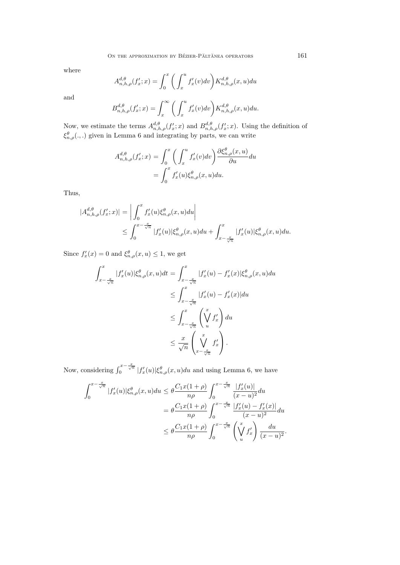where

$$
A_{n,h,\rho}^{d,\theta}(f'_x;x) = \int_0^x \bigg( \int_x^u f'_x(v) dv \bigg) K_{n,h,\rho}^{d,\theta}(x,u) du
$$

and

$$
B_{n,h,\rho}^{d,\theta}(f'_x;x) = \int_x^{\infty} \bigg( \int_x^u f'_x(v) dv \bigg) K_{n,h,\rho}^{d,\theta}(x,u) du.
$$

Now, we estimate the terms  $A_{n,h,\rho}^{d,\theta}(f'_x;x)$  and  $B_{n,h,\rho}^{d,\theta}(f'_x;x)$ . Using the definition of *ξ θ n,ρ*(*., .*) given in Lemma 6 and integrating by parts, we can write

$$
A_{n,h,\rho}^{d,\theta}(f'_x;x) = \int_0^x \left(\int_x^u f'_x(v)dv\right) \frac{\partial \xi_{n,\rho}^{\theta}(x,u)}{\partial u} du
$$
  
= 
$$
\int_0^x f'_x(u)\xi_{n,\rho}^{\theta}(x,u) du.
$$

Thus,

$$
|A_{n,h,\rho}^{d,\theta}(f'_x;x)| = \left| \int_0^x f'_x(u)\xi_{n,\rho}^{\theta}(x,u)du \right|
$$
  

$$
\leq \int_0^{x - \frac{x}{\sqrt{n}}} |f'_x(u)|\xi_{n,\rho}^{\theta}(x,u)du + \int_{x - \frac{x}{\sqrt{n}}}^x |f'_x(u)|\xi_{n,\rho}^{\theta}(x,u)du.
$$

Since  $f'_x(x) = 0$  and  $\xi_{n,\rho}^{\theta}(x, u) \leq 1$ , we get

$$
\int_{x-\frac{x}{\sqrt{n}}}^{x} |f'_x(u)| \xi_{n,\rho}^{\theta}(x,u) dt = \int_{x-\frac{x}{\sqrt{n}}}^{x} |f'_x(u) - f'_x(x)| \xi_{n,\rho}^{\theta}(x,u) du
$$
  
\n
$$
\leq \int_{x-\frac{x}{\sqrt{n}}}^{x} |f'_x(u) - f'_x(x)| du
$$
  
\n
$$
\leq \int_{x-\frac{x}{\sqrt{n}}}^{x} \left(\bigvee_{u}^{x} f'_x\right) du
$$
  
\n
$$
\leq \frac{x}{\sqrt{n}} \left(\bigvee_{x-\frac{x}{\sqrt{n}}}^{x} f'_x\right).
$$

Now, considering  $\int_0^{x-\frac{x}{\sqrt{n}}} |f'_x(u)| \xi_{n,\rho}^{\theta}(x,u) du$  and using Lemma 6, we have

$$
\int_0^{x - \frac{x}{\sqrt{n}}} |f'_x(u)| \xi_{n,\rho}^{\theta}(x,u) du \le \theta \frac{C_1 x (1+\rho)}{n\rho} \int_0^{x - \frac{x}{\sqrt{n}}} \frac{|f'_x(u)|}{(x-u)^2} du
$$
  

$$
= \theta \frac{C_1 x (1+\rho)}{n\rho} \int_0^{x - \frac{x}{\sqrt{n}}} \frac{|f'_x(u) - f'_x(x)|}{(x-u)^2} du
$$
  

$$
\le \theta \frac{C_1 x (1+\rho)}{n\rho} \int_0^{x - \frac{x}{\sqrt{n}}} \left(\bigvee_{u}^x f'_x\right) \frac{du}{(x-u)^2}.
$$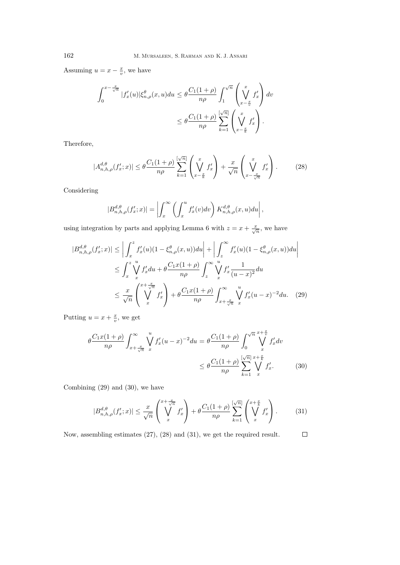Assuming  $u = x - \frac{x}{v}$ , we have

$$
\int_0^{x - \frac{x}{\sqrt{n}}} |f'_x(u)| \xi_{n,\rho}^{\theta}(x, u) du \le \theta \frac{C_1(1+\rho)}{n\rho} \int_1^{\sqrt{n}} \left(\bigvee_{x - \frac{x}{v}}^x f'_x\right) dv
$$
  

$$
\le \theta \frac{C_1(1+\rho)}{n\rho} \sum_{k=1}^{\lfloor \sqrt{n} \rfloor} \left(\bigvee_{x - \frac{x}{k}}^x f'_x\right).
$$

Therefore,

$$
|A_{n,h,\rho}^{d,\theta}(f'_x;x)| \leq \theta \frac{C_1(1+\rho)}{n\rho} \sum_{k=1}^{\lfloor \sqrt{n} \rfloor} \left(\bigvee_{x-\frac{x}{k}}^{x} f'_x\right) + \frac{x}{\sqrt{n}} \left(\bigvee_{x-\frac{x}{\sqrt{n}}}^{x} f'_x\right). \tag{28}
$$

Considering

$$
|B_{n,h,\rho}^{d,\theta}(f'_x;x)| = \left| \int_x^{\infty} \left( \int_x^u f'_x(v)dv \right) K_{n,h,\rho}^{d,\theta}(x,u)du \right|,
$$

using integration by parts and applying Lemma 6 with  $z = x + \frac{x}{\sqrt{n}}$ , we have

$$
|B_{n,h,\rho}^{d,\theta}(f'_x;x)| \leq \left| \int_x^z f'_x(u)(1-\xi_{n,\rho}^{\theta}(x,u))du \right| + \left| \int_z^\infty f'_x(u)(1-\xi_{n,\rho}^{\theta}(x,u))du \right|
$$
  
\n
$$
\leq \int_x^z \bigvee_x^u f'_x du + \theta \frac{C_1x(1+\rho)}{n\rho} \int_z^\infty \bigvee_x^u f'_x \frac{1}{(u-x)^2} du
$$
  
\n
$$
\leq \frac{x}{\sqrt{n}} \left( \bigvee_x^{x+\frac{x}{\sqrt{n}}} f'_x \right) + \theta \frac{C_1x(1+\rho)}{n\rho} \int_{x+\frac{x}{\sqrt{n}}}^\infty \int_x^u f'_x (u-x)^{-2} du. \quad (29)
$$

Putting  $u = x + \frac{x}{v}$ , we get

$$
\theta \frac{C_1 x (1+\rho)}{n\rho} \int_{x+\frac{x}{\sqrt{n}}}^{\infty} \bigvee_{x}^{u} f'_x (u-x)^{-2} du = \theta \frac{C_1 (1+\rho)}{n\rho} \int_0^{\sqrt{n}} \bigvee_{x}^{x+\frac{x}{v}} f'_x dv
$$
  

$$
\leq \theta \frac{C_1 (1+\rho)}{n\rho} \sum_{k=1}^{\lfloor \sqrt{n} \rfloor} \bigvee_{x}^{x+\frac{x}{k}} f'_x.
$$
 (30)

Combining (29) and (30), we have

$$
|B_{n,h,\rho}^{d,\theta}(f'_x;x)| \le \frac{x}{\sqrt{n}} \left(\bigvee_{x=1}^{x+\frac{x}{\sqrt{n}}} f'_x\right) + \theta \frac{C_1(1+\rho)}{n\rho} \sum_{k=1}^{\lfloor \sqrt{n} \rfloor} \left(\bigvee_{x=1}^{x+\frac{x}{k}} f'_x\right). \tag{31}
$$

Now, assembling estimates (27), (28) and (31), we get the required result. $\Box$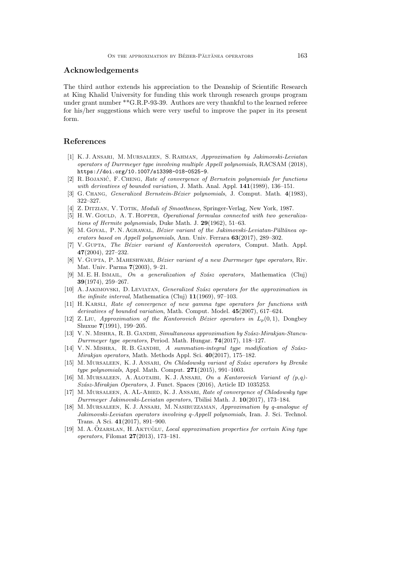### **Acknowledgements**

The third author extends his appreciation to the Deanship of Scientific Research at King Khalid University for funding this work through research groups program under grant number \*\*G.R.P-93-39. Authors are very thankful to the learned referee for his/her suggestions which were very useful to improve the paper in its present form.

### **References**

- [1] K. J. Ansari, M. Mursaleen, S. Rahman, *Approximation by Jakimovski-Leviatan operators of Durrmeyer type involving multiple Appell polynomials*, RACSAM (2018), https://doi.org/10.1007/s13398-018-0525-9.
- [2] R. BOJANIĆ, F. CHENG, Rate of convergence of Bernstein polynomials for functions *with derivatives of bounded variation*, J. Math. Anal. Appl. **141**(1989), 136–151.
- [3] G. Chang, *Generalized Bernstein-B´ezier polynomials*, J. Comput. Math. **4**(1983), 322–327.
- [4] Z. Ditzian, V. Totik, *Moduli of Smoothness*, Springer-Verlag, New York, 1987.
- [5] H.W. GOULD, A.T. HOPPER, *Operational formulas connected with two generalizations of Hermite polynomials*, Duke Math. J. **29**(1962), 51–63.
- [6] M. GOYAL, P. N. AGRAWAL, *Bézier variant of the Jakimovski-Leviatan-Păltănea operators based on Appell polynomials*, Ann. Univ. Ferrara **63**(2017), 289–302.
- [7] V. Gupta, *The B´ezier variant of Kantorovitch operators*, Comput. Math. Appl. **47**(2004), 227–232.
- [8] V. GUPTA, P. MAHESHWARI, *Bézier variant of a new Durrmeyer type operators*, Riv. Mat. Univ. Parma **7**(2003), 9–21.
- [9] M. E. H. Ismail, *On a generalization of Sz´asz operators*, Mathematica (Cluj) **39**(1974), 259–267.
- [10] A. Jakimovski, D. Leviatan, *Generalized Sz´asz operators for the approximation in the infinite interval*, Mathematica (Cluj) **11**(1969), 97–103.
- [11] H. Karsli, *Rate of convergence of new gamma type operators for functions with derivatives of bounded variation*, Math. Comput. Model. **45**(2007), 617–624.
- [12] Z. Liu, *Approximation of the Kantorovich Bézier operators in*  $L_p(0,1)$ , Dongbey Shuxue **7**(1991), 199–205.
- [13] V. N. MISHRA, R. B. GANDHI, *Simultaneous approximation by Szász-Mirakjan-Stancu-Durrmeyer type operators*, Period. Math. Hungar. **74**(2017), 118–127.
- [14] V.N.MISHRA, R.B.GANDHI, *A summation-integral type modification of Szász-Mirakjan operators*, Math. Methods Appl. Sci. **40**(2017), 175–182.
- [15] M. Mursaleen, K. J. Ansari, *On Chlodowsky variant of Sz´asz operators by Brenke type polynomials*, Appl. Math. Comput. **271**(2015), 991–1003.
- [16] M. Mursaleen, A. Alotaibi, K. J. Ansari, *On a Kantorovich Variant of (p,q)- Sz´asz-Mirakjan Operators*, J. Funct. Spaces (2016), Article ID 1035253.
- [17] M. Mursaleen, A. AL-Abied, K. J. Ansari, *Rate of convergence of Chlodowsky type Durrmeyer Jakimovski-Leviatan operators*, Tbilisi Math. J. **10**(2017), 173–184.
- [18] M. Mursaleen, K. J. Ansari, M. Nasiruzzaman, *Approximation by q-analogue of Jakimovski-Leviatan operators involving q-Appell polynomials*, Iran. J. Sci. Technol. Trans. A Sci. **41**(2017), 891–900.
- [19] M. A. ÖZARSLAN, H. AKTUĞLU, *Local approximation properties for certain King type operators*, Filomat **27**(2013), 173–181.